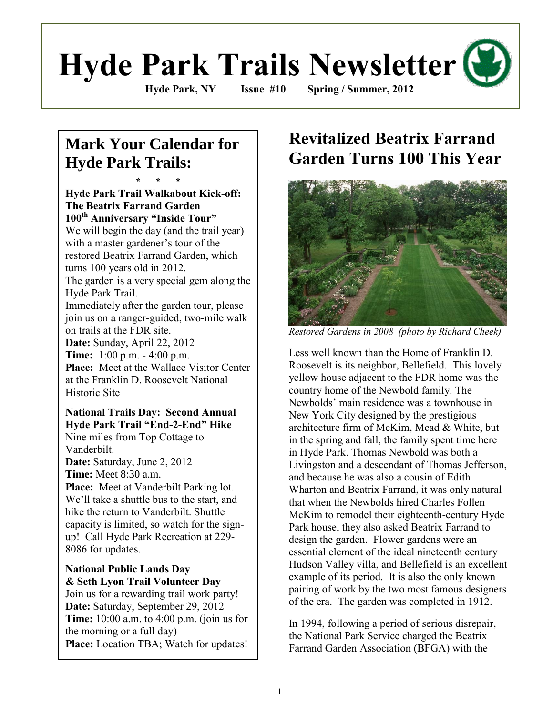# **Hyde Park Trails Newsletter**

**Hyde Park, NY Issue #10 Spring / Summer, 2012**

## **Mark Your Calendar for Hyde Park Trails:**

**\* \* \***

**Hyde Park Trail Walkabout Kick-off: The Beatrix Farrand Garden 100th Anniversary "Inside Tour"** We will begin the day (and the trail year) with a master gardener's tour of the restored Beatrix Farrand Garden, which turns 100 years old in 2012. The garden is a very special gem along the Hyde Park Trail. Immediately after the garden tour, please join us on a ranger-guided, two-mile walk

on trails at the FDR site.

**Date:** Sunday, April 22, 2012 **Time:** 1:00 p.m. - 4:00 p.m. **Place:** Meet at the Wallace Visitor Center at the Franklin D. Roosevelt National Historic Site

#### **National Trails Day: Second Annual Hyde Park Trail "End-2-End" Hike** Nine miles from Top Cottage to

Vanderbilt. **Date:** Saturday, June 2, 2012 **Time:** Meet 8:30 a.m.

**Place:** Meet at Vanderbilt Parking lot. We"ll take a shuttle bus to the start, and hike the return to Vanderbilt. Shuttle capacity is limited, so watch for the signup! Call Hyde Park Recreation at 229- 8086 for updates.

#### **National Public Lands Day & Seth Lyon Trail Volunteer Day**

Join us for a rewarding trail work party! **Date:** Saturday, September 29, 2012 **Time:** 10:00 a.m. to 4:00 p.m. (join us for the morning or a full day) **Place:** Location TBA; Watch for updates!

# **Revitalized Beatrix Farrand Garden Turns 100 This Year**



*Restored Gardens in 2008 (photo by Richard Cheek)*

Less well known than the Home of Franklin D. Roosevelt is its neighbor, Bellefield. This lovely yellow house adjacent to the FDR home was the country home of the Newbold family. The Newbolds" main residence was a townhouse in New York City designed by the prestigious architecture firm of McKim, Mead & White, but in the spring and fall, the family spent time here in Hyde Park. Thomas Newbold was both a Livingston and a descendant of Thomas Jefferson, and because he was also a cousin of Edith Wharton and Beatrix Farrand, it was only natural that when the Newbolds hired Charles Follen McKim to remodel their eighteenth-century Hyde Park house, they also asked Beatrix Farrand to design the garden. Flower gardens were an essential element of the ideal nineteenth century Hudson Valley villa, and Bellefield is an excellent example of its period. It is also the only known pairing of work by the two most famous designers of the era. The garden was completed in 1912.

In 1994, following a period of serious disrepair, the National Park Service charged the Beatrix Farrand Garden Association (BFGA) with the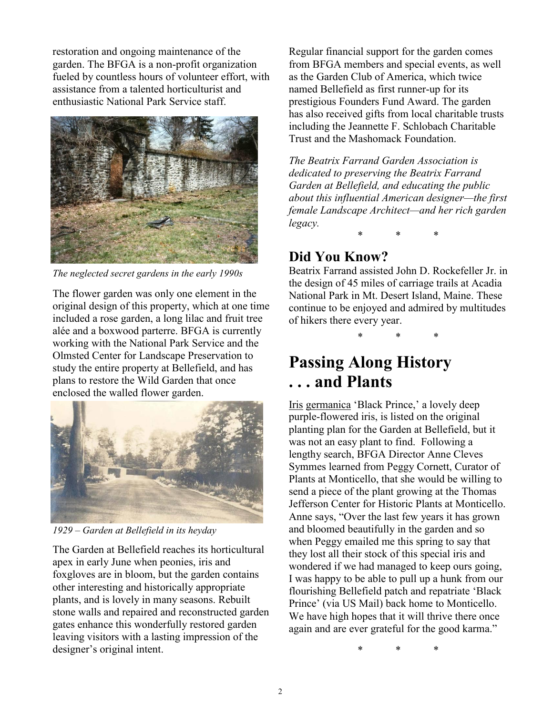restoration and ongoing maintenance of the garden. The BFGA is a non-profit organization fueled by countless hours of volunteer effort, with assistance from a talented horticulturist and enthusiastic National Park Service staff.



*The neglected secret gardens in the early 1990s*

The flower garden was only one element in the original design of this property, which at one time included a rose garden, a long lilac and fruit tree alée and a boxwood parterre. BFGA is currently working with the National Park Service and the Olmsted Center for Landscape Preservation to study the entire property at Bellefield, and has plans to restore the Wild Garden that once enclosed the walled flower garden.



*1929 – Garden at Bellefield in its heyday*

The Garden at Bellefield reaches its horticultural apex in early June when peonies, iris and foxgloves are in bloom, but the garden contains other interesting and historically appropriate plants, and is lovely in many seasons. Rebuilt stone walls and repaired and reconstructed garden gates enhance this wonderfully restored garden leaving visitors with a lasting impression of the designer's original intent.

Regular financial support for the garden comes from BFGA members and special events, as well as the Garden Club of America, which twice named Bellefield as first runner-up for its prestigious Founders Fund Award. The garden has also received gifts from local charitable trusts including the Jeannette F. Schlobach Charitable Trust and the Mashomack Foundation.

*The Beatrix Farrand Garden Association is dedicated to preserving the Beatrix Farrand Garden at Bellefield, and educating the public about this influential American designer—the first female Landscape Architect—and her rich garden legacy.*

\* \* \*

## **Did You Know?**

Beatrix Farrand assisted John D. Rockefeller Jr. in the design of 45 miles of carriage trails at Acadia National Park in Mt. Desert Island, Maine. These continue to be enjoyed and admired by multitudes of hikers there every year.

\* \* \*

# **Passing Along History . . . and Plants**

Iris germanica "Black Prince," a lovely deep purple-flowered iris, is listed on the original planting plan for the Garden at Bellefield, but it was not an easy plant to find. Following a lengthy search, BFGA Director Anne Cleves Symmes learned from Peggy Cornett, Curator of Plants at Monticello, that she would be willing to send a piece of the plant growing at the Thomas Jefferson Center for Historic Plants at Monticello. Anne says, "Over the last few years it has grown and bloomed beautifully in the garden and so when Peggy emailed me this spring to say that they lost all their stock of this special iris and wondered if we had managed to keep ours going, I was happy to be able to pull up a hunk from our flourishing Bellefield patch and repatriate "Black Prince" (via US Mail) back home to Monticello. We have high hopes that it will thrive there once again and are ever grateful for the good karma."

\* \* \*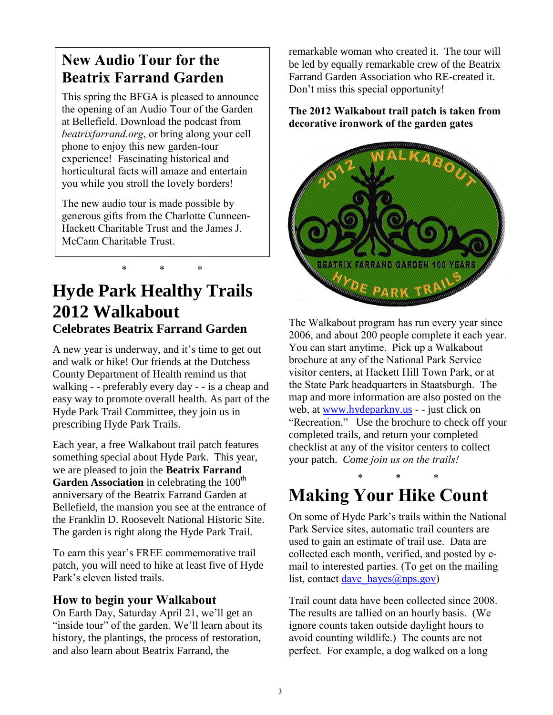## **New Audio Tour for the Beatrix Farrand Garden**

This spring the BFGA is pleased to announce the opening of an Audio Tour of the Garden at Bellefield. Download the podcast from *beatrixfarrand.org*, or bring along your cell phone to enjoy this new garden-tour experience! Fascinating historical and horticultural facts will amaze and entertain you while you stroll the lovely borders!

The new audio tour is made possible by generous gifts from the Charlotte Cunneen-Hackett Charitable Trust and the James J. McCann Charitable Trust.

\* \* \*

# **Hyde Park Healthy Trails 2012 Walkabout Celebrates Beatrix Farrand Garden**

A new year is underway, and it's time to get out and walk or hike! Our friends at the Dutchess County Department of Health remind us that walking - - preferably every day - - is a cheap and easy way to promote overall health. As part of the Hyde Park Trail Committee, they join us in prescribing Hyde Park Trails.

Each year, a free Walkabout trail patch features something special about Hyde Park. This year, we are pleased to join the **Beatrix Farrand**  Garden Association in celebrating the 100<sup>th</sup> anniversary of the Beatrix Farrand Garden at Bellefield, the mansion you see at the entrance of the Franklin D. Roosevelt National Historic Site. The garden is right along the Hyde Park Trail.

To earn this year's FREE commemorative trail patch, you will need to hike at least five of Hyde Park's eleven listed trails.

#### **How to begin your Walkabout**

On Earth Day, Saturday April 21, we'll get an "inside tour" of the garden. We'll learn about its history, the plantings, the process of restoration, and also learn about Beatrix Farrand, the

remarkable woman who created it. The tour will be led by equally remarkable crew of the Beatrix Farrand Garden Association who RE-created it. Don't miss this special opportunity!

**The 2012 Walkabout trail patch is taken from decorative ironwork of the garden gates**



The Walkabout program has run every year since 2006, and about 200 people complete it each year. You can start anytime. Pick up a Walkabout brochure at any of the National Park Service visitor centers, at Hackett Hill Town Park, or at the State Park headquarters in Staatsburgh. The map and more information are also posted on the web, at [www.hydeparkny.us](http://www.hydeparkny.us/) - - just click on "Recreation." Use the brochure to check off your completed trails, and return your completed checklist at any of the visitor centers to collect your patch. *Come join us on the trails!*

## \* \* \* **Making Your Hike Count**

On some of Hyde Park"s trails within the National Park Service sites, automatic trail counters are used to gain an estimate of trail use. Data are collected each month, verified, and posted by email to interested parties. (To get on the mailing list, contact dave  $haves(\omega_{\text{nps.gov}})$ 

Trail count data have been collected since 2008. The results are tallied on an hourly basis. (We ignore counts taken outside daylight hours to avoid counting wildlife.) The counts are not perfect. For example, a dog walked on a long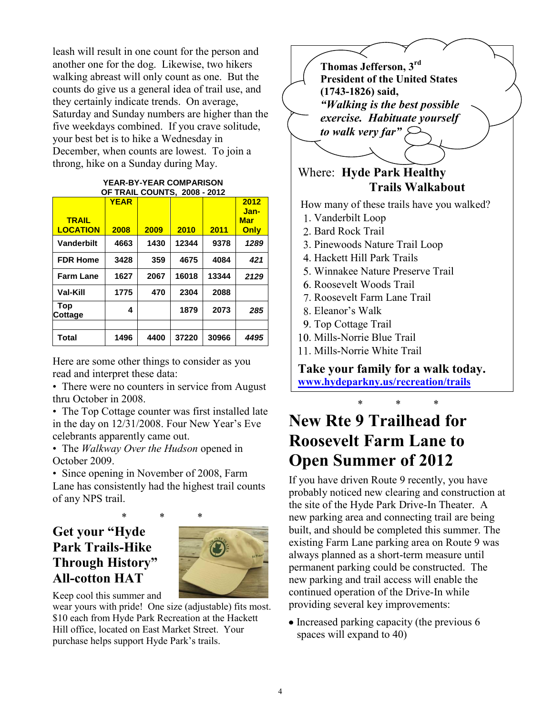leash will result in one count for the person and another one for the dog. Likewise, two hikers walking abreast will only count as one. But the counts do give us a general idea of trail use, and they certainly indicate trends. On average, Saturday and Sunday numbers are higher than the five weekdays combined. If you crave solitude, your best bet is to hike a Wednesday in December, when counts are lowest. To join a throng, hike on a Sunday during May.

#### **YEAR-BY-YEAR COMPARISON OF TRAIL COUNTS, 2008 - 2012**

| <b>TRAIL</b><br><b>LOCATION</b> | <b>YEAR</b><br>2008 | 2009 | 2010  | 2011  | 2012<br>Jan-<br><b>Mar</b><br>Only |
|---------------------------------|---------------------|------|-------|-------|------------------------------------|
| Vanderbilt                      | 4663                | 1430 | 12344 | 9378  | 1289                               |
| <b>FDR Home</b>                 | 3428                | 359  | 4675  | 4084  | 421                                |
| <b>Farm Lane</b>                | 1627                | 2067 | 16018 | 13344 | 2129                               |
| Val-Kill                        | 1775                | 470  | 2304  | 2088  |                                    |
| Top<br>Cottage                  | 4                   |      | 1879  | 2073  | 285                                |
|                                 |                     |      |       |       |                                    |
| Total                           | 1496                | 4400 | 37220 | 30966 | 4495                               |

Here are some other things to consider as you read and interpret these data:

• There were no counters in service from August thru October in 2008.

• The Top Cottage counter was first installed late in the day on 12/31/2008. Four New Year's Eve celebrants apparently came out.

• The *Walkway Over the Hudson* opened in October 2009.

• Since opening in November of 2008, Farm Lane has consistently had the highest trail counts of any NPS trail.

## **Get your "Hyde Park Trails-Hike Through History" All-cotton HAT**



Keep cool this summer and

wear yours with pride! One size (adjustable) fits most. \$10 each from Hyde Park Recreation at the Hackett Hill office, located on East Market Street. Your purchase helps support Hyde Park"s trails.



Where: **Hyde Park Healthy Trails Walkabout**

How many of these trails have you walked?

- . Vanderbilt Loop
- 2 Bard Rock Trail
- . Pinewoods Nature Trail Loop
- . Hackett Hill Park Trails
- . Winnakee Nature Preserve Trail
- . Roosevelt Woods Trail
- . Roosevelt Farm Lane Trail
- . Eleanor"s Walk
- . Top Cottage Trail
- . Mills-Norrie Blue Trail
- . Mills-Norrie White Trail

**Take your family for a walk today. [www.hydeparkny.us/recreation/trails](http://www.hydeparkny.us/recreation/trails)**

## \* \* \* **New Rte 9 Trailhead for Roosevelt Farm Lane to Open Summer of 2012**

If you have driven Route 9 recently, you have probably noticed new clearing and construction at the site of the Hyde Park Drive-In Theater. A new parking area and connecting trail are being built, and should be completed this summer. The existing Farm Lane parking area on Route 9 was always planned as a short-term measure until permanent parking could be constructed. The new parking and trail access will enable the continued operation of the Drive-In while providing several key improvements:

• Increased parking capacity (the previous 6 spaces will expand to 40)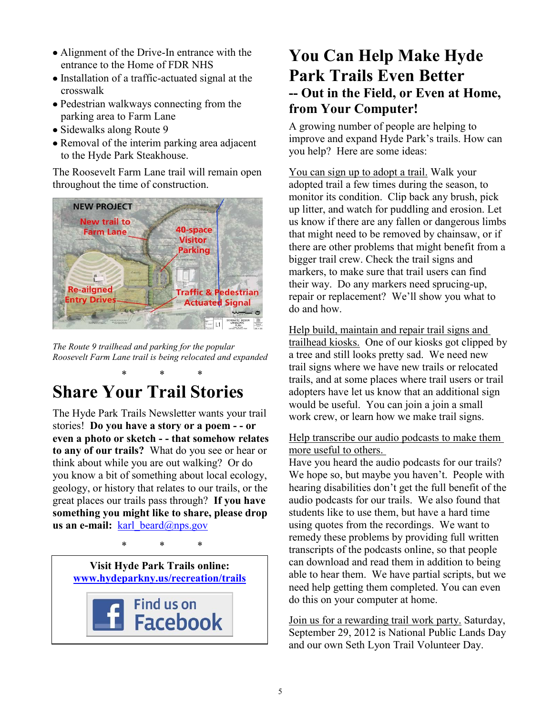- Alignment of the Drive-In entrance with the entrance to the Home of FDR NHS
- Installation of a traffic-actuated signal at the crosswalk
- Pedestrian walkways connecting from the parking area to Farm Lane
- Sidewalks along Route 9
- Removal of the interim parking area adjacent to the Hyde Park Steakhouse.

The Roosevelt Farm Lane trail will remain open throughout the time of construction.



*The Route 9 trailhead and parking for the popular Roosevelt Farm Lane trail is being relocated and expanded* 

## \* \* \* **Share Your Trail Stories**

The Hyde Park Trails Newsletter wants your trail stories! **Do you have a story or a poem - - or even a photo or sketch - - that somehow relates to any of our trails?** What do you see or hear or think about while you are out walking? Or do you know a bit of something about local ecology, geology, or history that relates to our trails, or the great places our trails pass through? **If you have something you might like to share, please drop us an e-mail:** karl beard@nps.gov

\* \* \*

**Visit Hyde Park Trails online: [www.hydeparkny.us/recreation/trails](http://www.hydeparkny.us/recreation/trails)**



## **You Can Help Make Hyde Park Trails Even Better -- Out in the Field, or Even at Home, from Your Computer!**

A growing number of people are helping to improve and expand Hyde Park"s trails. How can you help? Here are some ideas:

You can sign up to adopt a trail. Walk your adopted trail a few times during the season, to monitor its condition. Clip back any brush, pick up litter, and watch for puddling and erosion. Let us know if there are any fallen or dangerous limbs that might need to be removed by chainsaw, or if there are other problems that might benefit from a bigger trail crew. Check the trail signs and markers, to make sure that trail users can find their way. Do any markers need sprucing-up, repair or replacement? We"ll show you what to do and how.

Help build, maintain and repair trail signs and trailhead kiosks. One of our kiosks got clipped by a tree and still looks pretty sad. We need new trail signs where we have new trails or relocated trails, and at some places where trail users or trail adopters have let us know that an additional sign would be useful. You can join a join a small work crew, or learn how we make trail signs.

#### Help transcribe our audio podcasts to make them more useful to others.

Have you heard the audio podcasts for our trails? We hope so, but maybe you haven't. People with hearing disabilities don"t get the full benefit of the audio podcasts for our trails. We also found that students like to use them, but have a hard time using quotes from the recordings. We want to remedy these problems by providing full written transcripts of the podcasts online, so that people can download and read them in addition to being able to hear them. We have partial scripts, but we need help getting them completed. You can even do this on your computer at home.

Join us for a rewarding trail work party. Saturday, September 29, 2012 is National Public Lands Day and our own Seth Lyon Trail Volunteer Day.